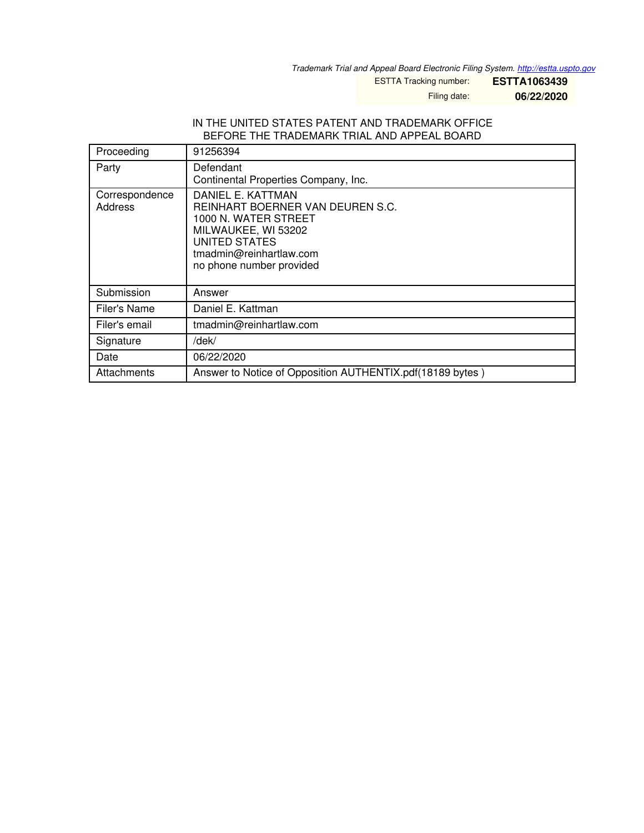*Trademark Trial and Appeal Board Electronic Filing System. <http://estta.uspto.gov>*

ESTTA Tracking number: **ESTTA1063439**

Filing date: **06/22/2020**

### IN THE UNITED STATES PATENT AND TRADEMARK OFFICE BEFORE THE TRADEMARK TRIAL AND APPEAL BOARD

| Proceeding                | 91256394                                                                                                                                                                                   |  |  |
|---------------------------|--------------------------------------------------------------------------------------------------------------------------------------------------------------------------------------------|--|--|
| Party                     | Defendant<br>Continental Properties Company, Inc.                                                                                                                                          |  |  |
| Correspondence<br>Address | DANIEL E. KATTMAN<br><b>REINHART BOERNER VAN DEUREN S.C.</b><br>1000 N. WATER STREET<br>MILWAUKEE, WI 53202<br><b>UNITED STATES</b><br>tmadmin@reinhartlaw.com<br>no phone number provided |  |  |
| Submission                | Answer                                                                                                                                                                                     |  |  |
| Filer's Name              | Daniel E. Kattman                                                                                                                                                                          |  |  |
| Filer's email             | tmadmin@reinhartlaw.com                                                                                                                                                                    |  |  |
| Signature                 | /dek/                                                                                                                                                                                      |  |  |
| Date                      | 06/22/2020                                                                                                                                                                                 |  |  |
| Attachments               | Answer to Notice of Opposition AUTHENTIX.pdf(18189 bytes)                                                                                                                                  |  |  |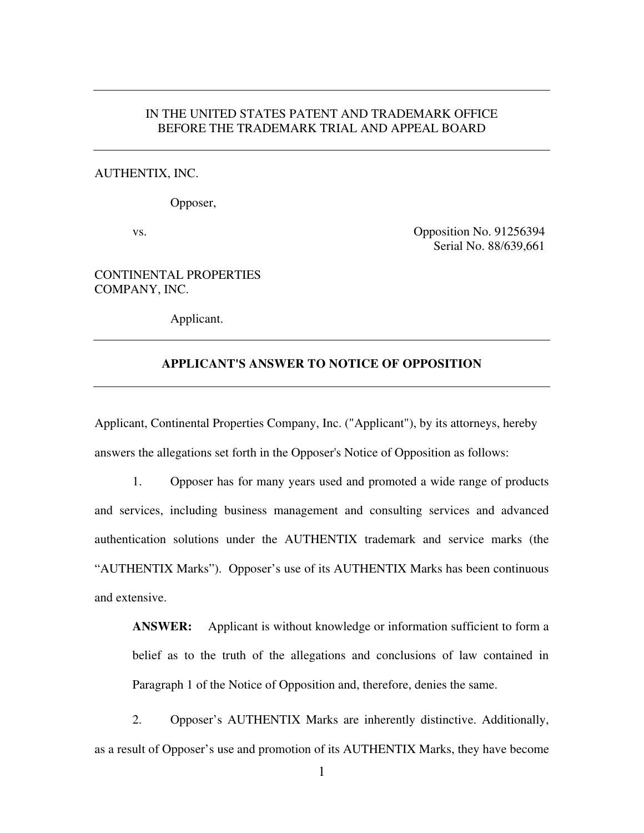## IN THE UNITED STATES PATENT AND TRADEMARK OFFICE BEFORE THE TRADEMARK TRIAL AND APPEAL BOARD

## AUTHENTIX, INC.

Opposer,

vs. Composition No. 91256394 Serial No. 88/639,661

## CONTINENTAL PROPERTIES COMPANY, INC.

Applicant.

## **APPLICANT'S ANSWER TO NOTICE OF OPPOSITION**

Applicant, Continental Properties Company, Inc. ("Applicant"), by its attorneys, hereby answers the allegations set forth in the Opposer's Notice of Opposition as follows:

1. Opposer has for many years used and promoted a wide range of products and services, including business management and consulting services and advanced authentication solutions under the AUTHENTIX trademark and service marks (the "AUTHENTIX Marks").Opposer's use of its AUTHENTIX Marks has been continuous and extensive.

**ANSWER:** Applicant is without knowledge or information sufficient to form a belief as to the truth of the allegations and conclusions of law contained in Paragraph 1 of the Notice of Opposition and, therefore, denies the same.

2. Opposer's AUTHENTIX Marks are inherently distinctive. Additionally, as a result of Opposer's use and promotion of its AUTHENTIX Marks, they have become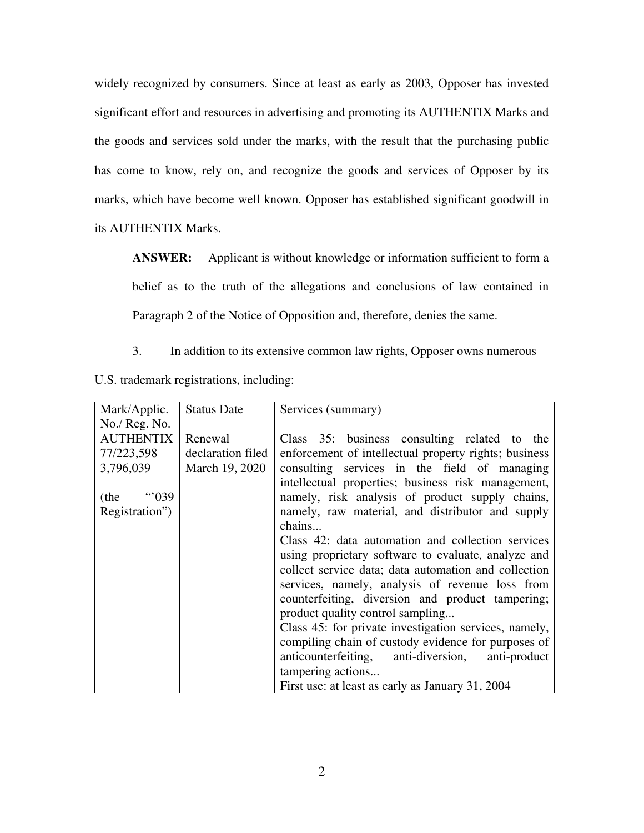widely recognized by consumers. Since at least as early as 2003, Opposer has invested significant effort and resources in advertising and promoting its AUTHENTIX Marks and the goods and services sold under the marks, with the result that the purchasing public has come to know, rely on, and recognize the goods and services of Opposer by its marks, which have become well known. Opposer has established significant goodwill in its AUTHENTIX Marks.

ANSWER: Applicant is without knowledge or information sufficient to form a belief as to the truth of the allegations and conclusions of law contained in Paragraph 2 of the Notice of Opposition and, therefore, denies the same.

- 3. In addition to its extensive common law rights, Opposer owns numerous
- U.S. trademark registrations, including:

| Mark/Applic.     | <b>Status Date</b> | Services (summary)                                    |
|------------------|--------------------|-------------------------------------------------------|
| No./ Reg. No.    |                    |                                                       |
| <b>AUTHENTIX</b> | Renewal            | Class 35: business consulting related to the          |
| 77/223,598       | declaration filed  | enforcement of intellectual property rights; business |
| 3,796,039        | March 19, 2020     | consulting services in the field of managing          |
|                  |                    | intellectual properties; business risk management,    |
| …039<br>(the     |                    | namely, risk analysis of product supply chains,       |
| Registration")   |                    | namely, raw material, and distributor and supply      |
|                  |                    | chains                                                |
|                  |                    | Class 42: data automation and collection services     |
|                  |                    | using proprietary software to evaluate, analyze and   |
|                  |                    | collect service data; data automation and collection  |
|                  |                    | services, namely, analysis of revenue loss from       |
|                  |                    | counterfeiting, diversion and product tampering;      |
|                  |                    | product quality control sampling                      |
|                  |                    | Class 45: for private investigation services, namely, |
|                  |                    | compiling chain of custody evidence for purposes of   |
|                  |                    | anticounterfeiting, anti-diversion,<br>anti-product   |
|                  |                    | tampering actions                                     |
|                  |                    | First use: at least as early as January 31, 2004      |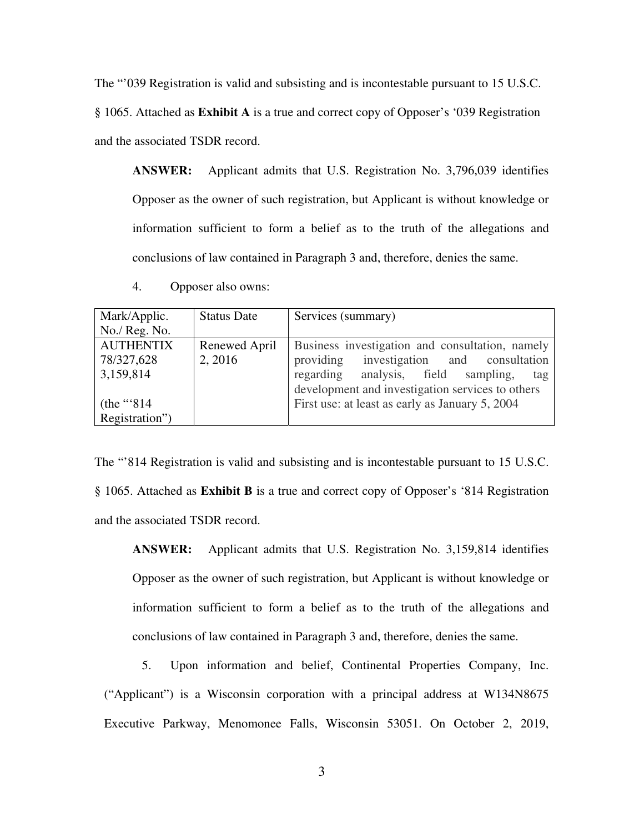The "'039 Registration is valid and subsisting and is incontestable pursuant to 15 U.S.C. § 1065. Attached as **Exhibit A** is a true and correct copy of Opposer's '039 Registration and the associated TSDR record.

**ANSWER:** Applicant admits that U.S. Registration No. 3,796,039 identifies Opposer as the owner of such registration, but Applicant is without knowledge or information sufficient to form a belief as to the truth of the allegations and conclusions of law contained in Paragraph 3 and, therefore, denies the same.

4. Opposer also owns:

| Mark/Applic.     | <b>Status Date</b> | Services (summary)                               |
|------------------|--------------------|--------------------------------------------------|
| No./ Reg. No.    |                    |                                                  |
| <b>AUTHENTIX</b> | Renewed April      | Business investigation and consultation, namely  |
| 78/327,628       | 2, 2016            | providing investigation and consultation         |
| 3,159,814        |                    | regarding analysis, field sampling,<br>tag       |
|                  |                    | development and investigation services to others |
| (the "' $814$ )  |                    | First use: at least as early as January 5, 2004  |
| Registration")   |                    |                                                  |

The "'814 Registration is valid and subsisting and is incontestable pursuant to 15 U.S.C. § 1065. Attached as **Exhibit B** is a true and correct copy of Opposer's '814 Registration and the associated TSDR record.

**ANSWER:** Applicant admits that U.S. Registration No. 3,159,814 identifies Opposer as the owner of such registration, but Applicant is without knowledge or information sufficient to form a belief as to the truth of the allegations and conclusions of law contained in Paragraph 3 and, therefore, denies the same.

5. Upon information and belief, Continental Properties Company, Inc. ("Applicant") is a Wisconsin corporation with a principal address at W134N8675 Executive Parkway, Menomonee Falls, Wisconsin 53051. On October 2, 2019,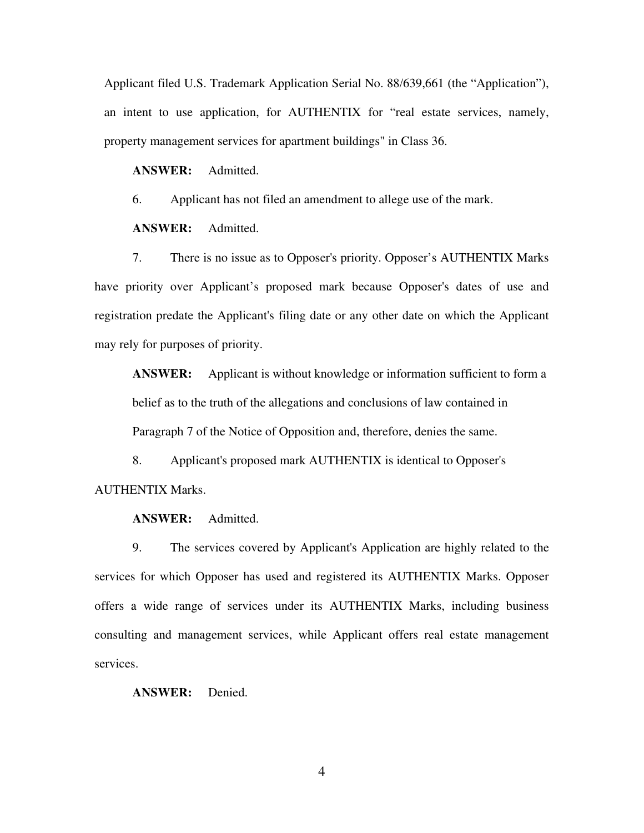Applicant filed U.S. Trademark Application Serial No. 88/639,661 (the "Application"), an intent to use application, for AUTHENTIX for "real estate services, namely, property management services for apartment buildings" in Class 36.

**ANSWER:** Admitted.

6. Applicant has not filed an amendment to allege use of the mark.

**ANSWER:** Admitted.

7. There is no issue as to Opposer's priority. Opposer's AUTHENTIX Marks have priority over Applicant's proposed mark because Opposer's dates of use and registration predate the Applicant's filing date or any other date on which the Applicant may rely for purposes of priority.

**ANSWER:** Applicant is without knowledge or information sufficient to form a belief as to the truth of the allegations and conclusions of law contained in Paragraph 7 of the Notice of Opposition and, therefore, denies the same.

8. Applicant's proposed mark AUTHENTIX is identical to Opposer's AUTHENTIX Marks.

**ANSWER:** Admitted.

9. The services covered by Applicant's Application are highly related to the services for which Opposer has used and registered its AUTHENTIX Marks. Opposer offers a wide range of services under its AUTHENTIX Marks, including business consulting and management services, while Applicant offers real estate management services.

**ANSWER:** Denied.

4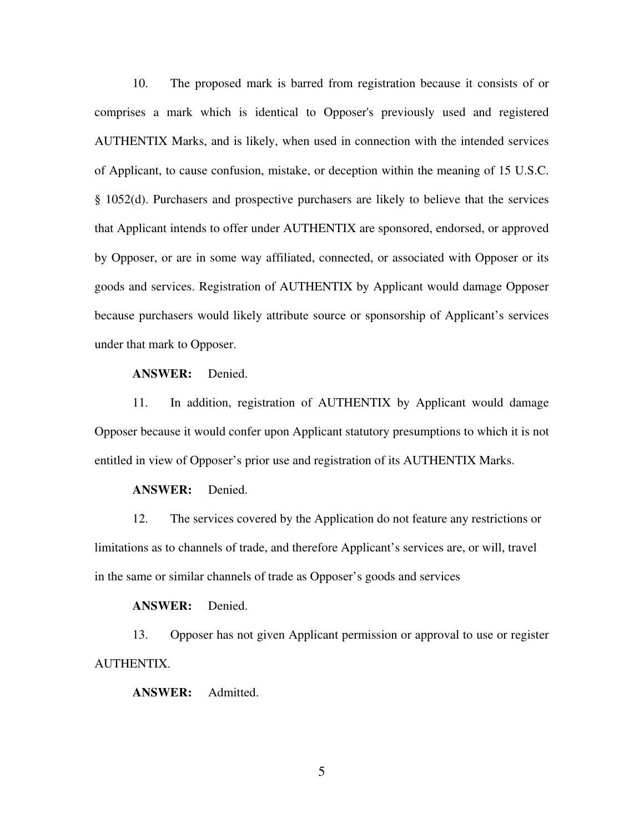10. The proposed mark is barred from registration because it consists of or comprises a mark which is identical to Opposer's previously used and registered AUTHENTIX Marks, and is likely, when used in connection with the intended services of Applicant, to cause confusion, mistake, or deception within the meaning of 15 U.S.C. § 1052(d). Purchasers and prospective purchasers are likely to believe that the services that Applicant intends to offer under AUTHENTIX are sponsored, endorsed, or approved by Opposer, or are in some way affiliated, connected, or associated with Opposer or its goods and services. Registration of AUTHENTIX by Applicant would damage Opposer because purchasers would likely attribute source or sponsorship of Applicant's services under that mark to Opposer.

## **ANSWER:** Denied.

11. In addition, registration of AUTHENTIX by Applicant would damage Opposer because it would confer upon Applicant statutory presumptions to which it is not entitled in view of Opposer's prior use and registration of its AUTHENTIX Marks.

#### **ANSWER:** Denied.

12. The services covered by the Application do not feature any restrictions or limitations as to channels of trade, and therefore Applicant's services are, or will, travel in the same or similar channels of trade as Opposer's goods and services

#### **ANSWER:** Denied.

13. Opposer has not given Applicant permission or approval to use or register AUTHENTIX.

**ANSWER:** Admitted.

5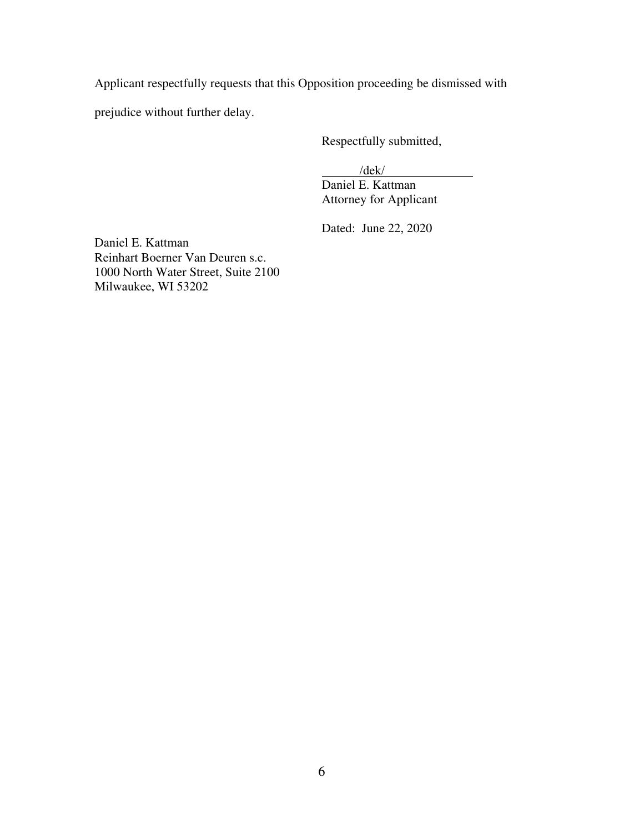Applicant respectfully requests that this Opposition proceeding be dismissed with

prejudice without further delay.

Respectfully submitted,

/dek/

Daniel E. Kattman Attorney for Applicant

Dated: June 22, 2020

Daniel E. Kattman Reinhart Boerner Van Deuren s.c. 1000 North Water Street, Suite 2100 Milwaukee, WI 53202